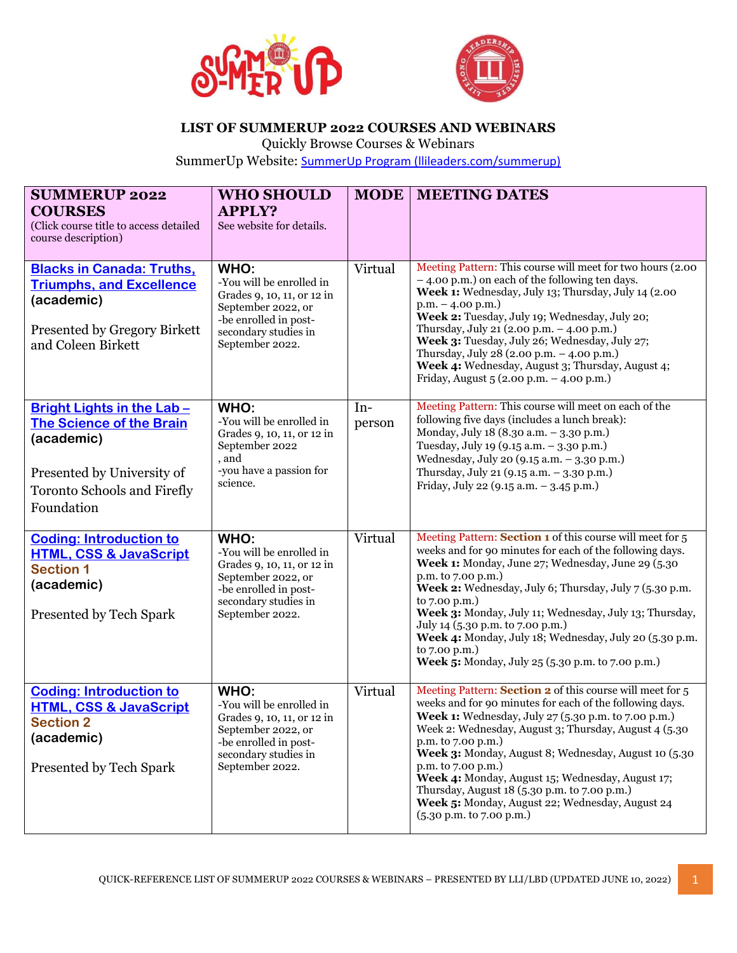



## **LIST OF SUMMERUP 2022 COURSES AND WEBINARS**

Quickly Browse Courses & Webinars

SummerUp Website: [SummerUp Program \(llileaders.com/summerup\)](https://llileaders.com/summerup/)

| <b>SUMMERUP 2022</b><br><b>COURSES</b><br>(Click course title to access detailed<br>course description)                                                      | <b>WHO SHOULD</b><br><b>APPLY?</b><br>See website for details.                                                                                           | <b>MODE</b>     | <b>MEETING DATES</b>                                                                                                                                                                                                                                                                                                                                                                                                                                                                                                            |
|--------------------------------------------------------------------------------------------------------------------------------------------------------------|----------------------------------------------------------------------------------------------------------------------------------------------------------|-----------------|---------------------------------------------------------------------------------------------------------------------------------------------------------------------------------------------------------------------------------------------------------------------------------------------------------------------------------------------------------------------------------------------------------------------------------------------------------------------------------------------------------------------------------|
| <b>Blacks in Canada: Truths,</b><br><b>Triumphs, and Excellence</b><br>(academic)<br>Presented by Gregory Birkett<br>and Coleen Birkett                      | WHO:<br>-You will be enrolled in<br>Grades 9, 10, 11, or 12 in<br>September 2022, or<br>-be enrolled in post-<br>secondary studies in<br>September 2022. | Virtual         | Meeting Pattern: This course will meet for two hours (2.00)<br>- 4.00 p.m.) on each of the following ten days.<br>Week 1: Wednesday, July 13; Thursday, July 14 (2.00<br>$p.m. - 4.00 p.m.$<br>Week 2: Tuesday, July 19; Wednesday, July 20;<br>Thursday, July 21 (2.00 p.m. - 4.00 p.m.)<br>Week 3: Tuesday, July 26; Wednesday, July 27;<br>Thursday, July 28 (2.00 p.m. - 4.00 p.m.)<br>Week 4: Wednesday, August 3; Thursday, August 4;<br>Friday, August 5 (2.00 p.m. - 4.00 p.m.)                                         |
| Bright Lights in the Lab-<br><b>The Science of the Brain</b><br>(academic)<br>Presented by University of<br><b>Toronto Schools and Firefly</b><br>Foundation | WHO:<br>-You will be enrolled in<br>Grades 9, 10, 11, or 12 in<br>September 2022<br>, and<br>-you have a passion for<br>science.                         | $In-$<br>person | Meeting Pattern: This course will meet on each of the<br>following five days (includes a lunch break):<br>Monday, July 18 (8.30 a.m. - 3.30 p.m.)<br>Tuesday, July 19 (9.15 a.m. - 3.30 p.m.)<br>Wednesday, July 20 (9.15 a.m. - 3.30 p.m.)<br>Thursday, July 21 (9.15 a.m. - 3.30 p.m.)<br>Friday, July 22 (9.15 a.m. - 3.45 p.m.)                                                                                                                                                                                             |
| <b>Coding: Introduction to</b><br><b>HTML, CSS &amp; JavaScript</b><br><b>Section 1</b><br>(academic)<br>Presented by Tech Spark                             | WHO:<br>-You will be enrolled in<br>Grades 9, 10, 11, or 12 in<br>September 2022, or<br>-be enrolled in post-<br>secondary studies in<br>September 2022. | Virtual         | Meeting Pattern: Section 1 of this course will meet for 5<br>weeks and for 90 minutes for each of the following days.<br>Week 1: Monday, June 27; Wednesday, June 29 (5.30<br>p.m. to 7.00 p.m.)<br>Week 2: Wednesday, July 6; Thursday, July 7 (5.30 p.m.<br>to 7.00 p.m.)<br>Week 3: Monday, July 11; Wednesday, July 13; Thursday,<br>July 14 (5.30 p.m. to 7.00 p.m.)<br>Week 4: Monday, July 18; Wednesday, July 20 (5.30 p.m.<br>to 7.00 p.m.)<br>Week 5: Monday, July 25 (5.30 p.m. to 7.00 p.m.)                        |
| <b>Coding: Introduction to</b><br><b>HTML, CSS &amp; JavaScript</b><br><b>Section 2</b><br>(academic)<br>Presented by Tech Spark                             | WHO:<br>-You will be enrolled in<br>Grades 9, 10, 11, or 12 in<br>September 2022, or<br>-be enrolled in post-<br>secondary studies in<br>September 2022. | Virtual         | Meeting Pattern: Section 2 of this course will meet for 5<br>weeks and for 90 minutes for each of the following days.<br>Week 1: Wednesday, July 27 (5.30 p.m. to 7.00 p.m.)<br>Week 2: Wednesday, August 3; Thursday, August 4 (5.30)<br>p.m. to 7.00 p.m.)<br>Week 3: Monday, August 8; Wednesday, August 10 (5.30<br>p.m. to 7.00 p.m.)<br>Week 4: Monday, August 15; Wednesday, August 17;<br>Thursday, August 18 (5.30 p.m. to 7.00 p.m.)<br>Week 5: Monday, August 22; Wednesday, August 24<br>$(5.30$ p.m. to 7.00 p.m.) |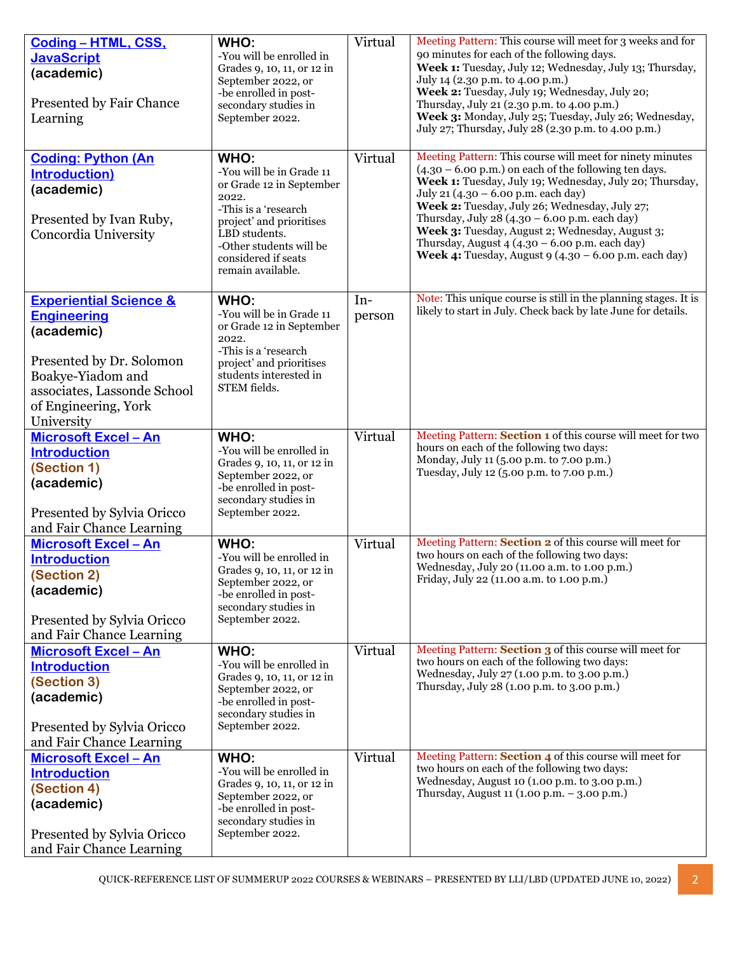| Coding - HTML, CSS,<br><b>JavaScript</b><br>(academic)                                                             | WHO:<br>-You will be enrolled in<br>Grades 9, 10, 11, or 12 in                                                                           | Virtual | Meeting Pattern: This course will meet for 3 weeks and for<br>90 minutes for each of the following days.<br>Week 1: Tuesday, July 12; Wednesday, July 13; Thursday,                                                                                                      |
|--------------------------------------------------------------------------------------------------------------------|------------------------------------------------------------------------------------------------------------------------------------------|---------|--------------------------------------------------------------------------------------------------------------------------------------------------------------------------------------------------------------------------------------------------------------------------|
| Presented by Fair Chance<br>Learning                                                                               | September 2022, or<br>-be enrolled in post-<br>secondary studies in<br>September 2022.                                                   |         | July 14 (2.30 p.m. to 4.00 p.m.)<br>Week 2: Tuesday, July 19; Wednesday, July 20;<br>Thursday, July 21 (2.30 p.m. to 4.00 p.m.)<br>Week 3: Monday, July 25; Tuesday, July 26; Wednesday,<br>July 27; Thursday, July 28 (2.30 p.m. to 4.00 p.m.)                          |
| <b>Coding: Python (An</b><br><b>Introduction)</b>                                                                  | WHO:<br>-You will be in Grade 11                                                                                                         | Virtual | Meeting Pattern: This course will meet for ninety minutes<br>$(4.30 - 6.00 \text{ p.m.})$ on each of the following ten days.                                                                                                                                             |
| (academic)                                                                                                         | or Grade 12 in September<br>2022.                                                                                                        |         | Week 1: Tuesday, July 19; Wednesday, July 20; Thursday,<br>July 21 (4.30 - 6.00 p.m. each day)                                                                                                                                                                           |
| Presented by Ivan Ruby,<br>Concordia University                                                                    | -This is a 'research<br>project' and prioritises<br>LBD students.<br>-Other students will be<br>considered if seats<br>remain available. |         | Week 2: Tuesday, July 26; Wednesday, July 27;<br>Thursday, July 28 (4.30 - 6.00 p.m. each day)<br>Week 3: Tuesday, August 2; Wednesday, August 3;<br>Thursday, August $4(4.30 - 6.00 \text{ p.m.}$ each day)<br>Week 4: Tuesday, August 9 $(4.30 - 6.00)$ p.m. each day) |
| <b>Experiential Science &amp;</b>                                                                                  | WHO:                                                                                                                                     | $In-$   | Note: This unique course is still in the planning stages. It is<br>likely to start in July. Check back by late June for details.                                                                                                                                         |
| <b>Engineering</b><br>(academic)                                                                                   | -You will be in Grade 11<br>or Grade 12 in September<br>2022.                                                                            | person  |                                                                                                                                                                                                                                                                          |
| Presented by Dr. Solomon<br>Boakye-Yiadom and<br>associates, Lassonde School<br>of Engineering, York<br>University | -This is a 'research<br>project' and prioritises<br>students interested in<br>STEM fields.                                               |         |                                                                                                                                                                                                                                                                          |
| <b>Microsoft Excel - An</b>                                                                                        | WHO:                                                                                                                                     | Virtual | Meeting Pattern: Section 1 of this course will meet for two                                                                                                                                                                                                              |
| <b>Introduction</b>                                                                                                | -You will be enrolled in<br>Grades 9, 10, 11, or 12 in                                                                                   |         | hours on each of the following two days:<br>Monday, July 11 (5.00 p.m. to 7.00 p.m.)                                                                                                                                                                                     |
| (Section 1)<br>(academic)                                                                                          | September 2022, or                                                                                                                       |         | Tuesday, July 12 (5.00 p.m. to 7.00 p.m.)                                                                                                                                                                                                                                |
|                                                                                                                    | -be enrolled in post-<br>secondary studies in                                                                                            |         |                                                                                                                                                                                                                                                                          |
| Presented by Sylvia Oricco<br>and Fair Chance Learning                                                             | September 2022.                                                                                                                          |         |                                                                                                                                                                                                                                                                          |
| <b>Microsoft Excel - An</b>                                                                                        | WHO:                                                                                                                                     | Virtual | Meeting Pattern: Section 2 of this course will meet for                                                                                                                                                                                                                  |
| <b>Introduction</b>                                                                                                | -You will be enrolled in                                                                                                                 |         | two hours on each of the following two days:                                                                                                                                                                                                                             |
| (Section 2)                                                                                                        | Grades 9, 10, 11, or 12 in<br>September 2022, or                                                                                         |         | Wednesday, July 20 (11.00 a.m. to 1.00 p.m.)<br>Friday, July 22 (11.00 a.m. to 1.00 p.m.)                                                                                                                                                                                |
| (academic)                                                                                                         | -be enrolled in post-                                                                                                                    |         |                                                                                                                                                                                                                                                                          |
| Presented by Sylvia Oricco                                                                                         | secondary studies in<br>September 2022.                                                                                                  |         |                                                                                                                                                                                                                                                                          |
| and Fair Chance Learning                                                                                           |                                                                                                                                          |         |                                                                                                                                                                                                                                                                          |
| <b>Microsoft Excel - An</b>                                                                                        | WHO:                                                                                                                                     | Virtual | Meeting Pattern: Section 3 of this course will meet for                                                                                                                                                                                                                  |
| <b>Introduction</b>                                                                                                | -You will be enrolled in<br>Grades 9, 10, 11, or 12 in                                                                                   |         | two hours on each of the following two days:<br>Wednesday, July 27 (1.00 p.m. to 3.00 p.m.)                                                                                                                                                                              |
| (Section 3)<br>(academic)                                                                                          | September 2022, or                                                                                                                       |         | Thursday, July 28 (1.00 p.m. to 3.00 p.m.)                                                                                                                                                                                                                               |
|                                                                                                                    | -be enrolled in post-<br>secondary studies in                                                                                            |         |                                                                                                                                                                                                                                                                          |
| Presented by Sylvia Oricco<br>and Fair Chance Learning                                                             | September 2022.                                                                                                                          |         |                                                                                                                                                                                                                                                                          |
| Microsoft Excel - An                                                                                               | WHO:                                                                                                                                     | Virtual | Meeting Pattern: Section 4 of this course will meet for                                                                                                                                                                                                                  |
| <b>Introduction</b>                                                                                                | -You will be enrolled in<br>Grades 9, 10, 11, or 12 in                                                                                   |         | two hours on each of the following two days:<br>Wednesday, August 10 (1.00 p.m. to 3.00 p.m.)                                                                                                                                                                            |
| (Section 4)                                                                                                        | September 2022, or                                                                                                                       |         | Thursday, August 11 (1.00 p.m. - 3.00 p.m.)                                                                                                                                                                                                                              |
| (academic)                                                                                                         | -be enrolled in post-                                                                                                                    |         |                                                                                                                                                                                                                                                                          |
| Presented by Sylvia Oricco                                                                                         | secondary studies in<br>September 2022.                                                                                                  |         |                                                                                                                                                                                                                                                                          |
| and Fair Chance Learning                                                                                           |                                                                                                                                          |         |                                                                                                                                                                                                                                                                          |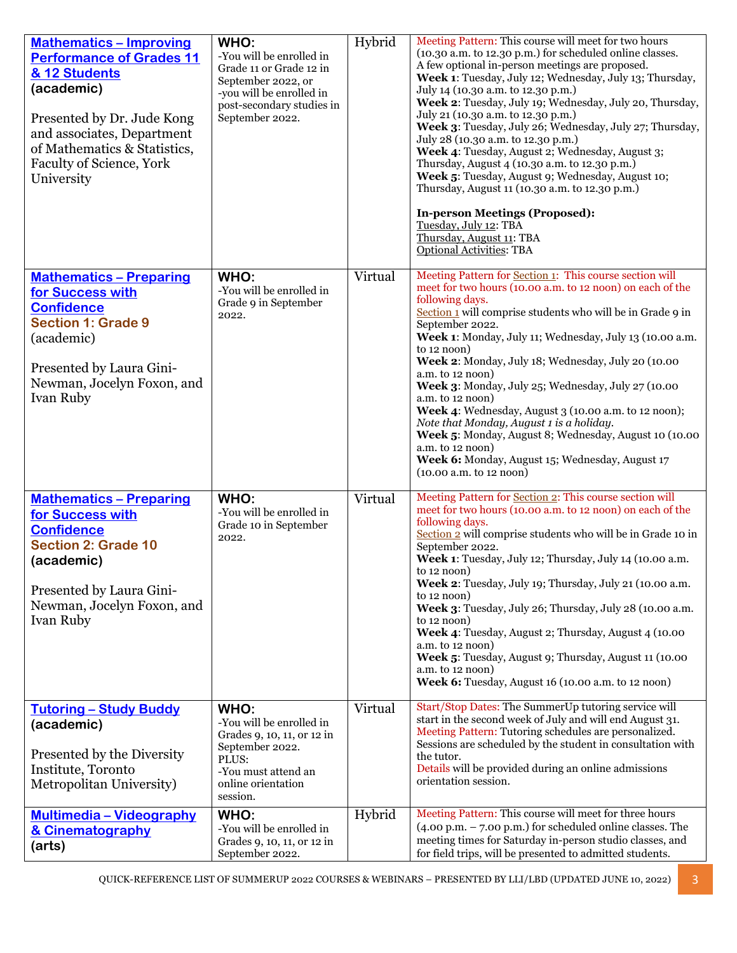| <b>Mathematics - Improving</b><br><b>Performance of Grades 11</b><br>& 12 Students<br>(academic)<br>Presented by Dr. Jude Kong<br>and associates, Department<br>of Mathematics & Statistics,<br><b>Faculty of Science, York</b><br>University | WHO:<br>-You will be enrolled in<br>Grade 11 or Grade 12 in<br>September 2022, or<br>-you will be enrolled in<br>post-secondary studies in<br>September 2022. | Hybrid  | Meeting Pattern: This course will meet for two hours<br>(10.30 a.m. to 12.30 p.m.) for scheduled online classes.<br>A few optional in-person meetings are proposed.<br>Week 1: Tuesday, July 12; Wednesday, July 13; Thursday,<br>July 14 (10.30 a.m. to 12.30 p.m.)<br>Week 2: Tuesday, July 19; Wednesday, July 20, Thursday,<br>July 21 (10.30 a.m. to 12.30 p.m.)<br>Week 3: Tuesday, July 26; Wednesday, July 27; Thursday,<br>July 28 (10.30 a.m. to 12.30 p.m.)<br>Week 4: Tuesday, August 2; Wednesday, August 3;<br>Thursday, August 4 (10.30 a.m. to 12.30 p.m.)<br>Week 5: Tuesday, August 9; Wednesday, August 10;<br>Thursday, August 11 (10.30 a.m. to 12.30 p.m.)<br><b>In-person Meetings (Proposed):</b><br>Tuesday, July 12: TBA<br>Thursday, August 11: TBA<br><b>Optional Activities: TBA</b> |
|-----------------------------------------------------------------------------------------------------------------------------------------------------------------------------------------------------------------------------------------------|---------------------------------------------------------------------------------------------------------------------------------------------------------------|---------|-------------------------------------------------------------------------------------------------------------------------------------------------------------------------------------------------------------------------------------------------------------------------------------------------------------------------------------------------------------------------------------------------------------------------------------------------------------------------------------------------------------------------------------------------------------------------------------------------------------------------------------------------------------------------------------------------------------------------------------------------------------------------------------------------------------------|
| <b>Mathematics - Preparing</b><br>for Success with<br><b>Confidence</b><br><b>Section 1: Grade 9</b><br>(academic)<br>Presented by Laura Gini-<br>Newman, Jocelyn Foxon, and<br>Ivan Ruby                                                     | WHO:<br>-You will be enrolled in<br>Grade 9 in September<br>2022.                                                                                             | Virtual | Meeting Pattern for Section 1: This course section will<br>meet for two hours (10.00 a.m. to 12 noon) on each of the<br>following days.<br>Section 1 will comprise students who will be in Grade 9 in<br>September 2022.<br>Week 1: Monday, July 11; Wednesday, July 13 (10.00 a.m.<br>to $12 \text{ noon}$ )<br>Week 2: Monday, July 18; Wednesday, July 20 (10.00<br>a.m. to 12 noon)<br>Week 3: Monday, July 25; Wednesday, July 27 (10.00<br>a.m. to 12 noon)<br>Week 4: Wednesday, August 3 (10.00 a.m. to 12 noon);<br>Note that Monday, August 1 is a holiday.<br>Week 5: Monday, August 8; Wednesday, August 10 (10.00<br>a.m. to 12 noon)<br>Week 6: Monday, August 15; Wednesday, August 17<br>(10.00 a.m. to 12 noon)                                                                                  |
| <b>Mathematics - Preparing</b><br>for Success with<br><b>Confidence</b><br><b>Section 2: Grade 10</b><br>(academic)<br>Presented by Laura Gini-<br>Newman, Jocelyn Foxon, and<br>Ivan Ruby                                                    | WHO:<br>-You will be enrolled in<br>Grade 10 in September<br>2022.                                                                                            | Virtual | Meeting Pattern for Section 2: This course section will<br>meet for two hours (10.00 a.m. to 12 noon) on each of the<br>following days.<br>Section 2 will comprise students who will be in Grade 10 in<br>September 2022.<br>Week 1: Tuesday, July 12; Thursday, July 14 (10.00 a.m.<br>to $12 \text{ noon}$ )<br>Week 2: Tuesday, July 19; Thursday, July 21 (10.00 a.m.<br>to $12 \text{ noon}$ )<br>Week 3: Tuesday, July 26; Thursday, July 28 (10.00 a.m.<br>to $12 \text{ noon}$ )<br>Week 4: Tuesday, August 2; Thursday, August 4 (10.00)<br>$a.m.$ to $12 \text{ noon}$ )<br>Week 5: Tuesday, August 9; Thursday, August 11 (10.00<br>a.m. to 12 noon)<br>Week 6: Tuesday, August 16 (10.00 a.m. to 12 noon)                                                                                             |
| <b>Tutoring - Study Buddy</b><br>(academic)<br>Presented by the Diversity<br>Institute, Toronto<br>Metropolitan University)                                                                                                                   | WHO:<br>-You will be enrolled in<br>Grades 9, 10, 11, or 12 in<br>September 2022.<br>PLUS:<br>-You must attend an<br>online orientation<br>session.           | Virtual | Start/Stop Dates: The SummerUp tutoring service will<br>start in the second week of July and will end August 31.<br>Meeting Pattern: Tutoring schedules are personalized.<br>Sessions are scheduled by the student in consultation with<br>the tutor.<br>Details will be provided during an online admissions<br>orientation session.                                                                                                                                                                                                                                                                                                                                                                                                                                                                             |
| <b>Multimedia - Videography</b><br>& Cinematography<br>(arts)                                                                                                                                                                                 | WHO:<br>-You will be enrolled in<br>Grades 9, 10, 11, or 12 in<br>September 2022.                                                                             | Hybrid  | Meeting Pattern: This course will meet for three hours<br>$(4.00 \text{ p.m.} - 7.00 \text{ p.m.})$ for scheduled online classes. The<br>meeting times for Saturday in-person studio classes, and<br>for field trips, will be presented to admitted students.                                                                                                                                                                                                                                                                                                                                                                                                                                                                                                                                                     |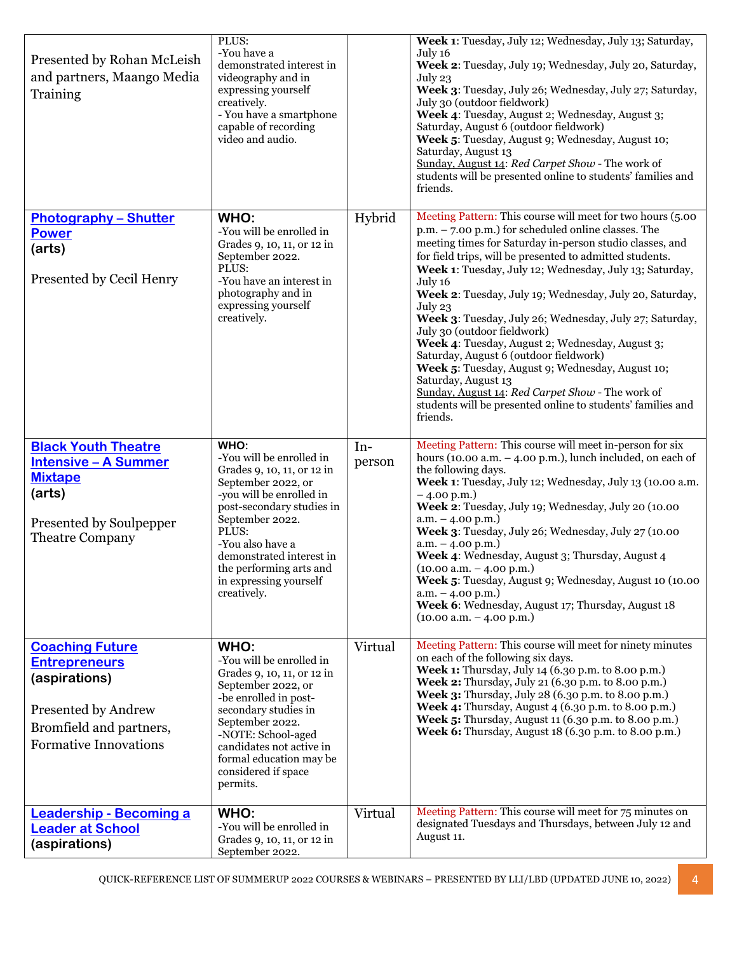| Presented by Rohan McLeish<br>and partners, Maango Media<br>Training                                                                              | PLUS:<br>-You have a<br>demonstrated interest in<br>videography and in<br>expressing yourself<br>creatively.<br>- You have a smartphone<br>capable of recording<br>video and audio.                                                                                                           |               | Week 1: Tuesday, July 12; Wednesday, July 13; Saturday,<br>July 16<br>Week 2: Tuesday, July 19; Wednesday, July 20, Saturday,<br>July 23<br>Week 3: Tuesday, July 26; Wednesday, July 27; Saturday,<br>July 30 (outdoor fieldwork)<br>Week 4: Tuesday, August 2; Wednesday, August 3;<br>Saturday, August 6 (outdoor fieldwork)<br>Week 5: Tuesday, August 9; Wednesday, August 10;<br>Saturday, August 13<br>Sunday, August 14: Red Carpet Show - The work of<br>students will be presented online to students' families and<br>friends.                                                                                                                                                                                                                                                 |
|---------------------------------------------------------------------------------------------------------------------------------------------------|-----------------------------------------------------------------------------------------------------------------------------------------------------------------------------------------------------------------------------------------------------------------------------------------------|---------------|-------------------------------------------------------------------------------------------------------------------------------------------------------------------------------------------------------------------------------------------------------------------------------------------------------------------------------------------------------------------------------------------------------------------------------------------------------------------------------------------------------------------------------------------------------------------------------------------------------------------------------------------------------------------------------------------------------------------------------------------------------------------------------------------|
| <b>Photography - Shutter</b><br><b>Power</b><br>(arts)<br>Presented by Cecil Henry                                                                | WHO:<br>-You will be enrolled in<br>Grades 9, 10, 11, or 12 in<br>September 2022.<br>PLUS:<br>-You have an interest in<br>photography and in<br>expressing yourself<br>creatively.                                                                                                            | Hybrid        | Meeting Pattern: This course will meet for two hours (5.00<br>$p.m. - 7.00 p.m.$ ) for scheduled online classes. The<br>meeting times for Saturday in-person studio classes, and<br>for field trips, will be presented to admitted students.<br>Week 1: Tuesday, July 12; Wednesday, July 13; Saturday,<br>July 16<br>Week 2: Tuesday, July 19; Wednesday, July 20, Saturday,<br>July 23<br>Week 3: Tuesday, July 26; Wednesday, July 27; Saturday,<br>July 30 (outdoor fieldwork)<br>Week 4: Tuesday, August 2; Wednesday, August 3;<br>Saturday, August 6 (outdoor fieldwork)<br>Week 5: Tuesday, August 9; Wednesday, August 10;<br>Saturday, August 13<br>Sunday, August 14: Red Carpet Show - The work of<br>students will be presented online to students' families and<br>friends. |
| <b>Black Youth Theatre</b><br><b>Intensive - A Summer</b><br><b>Mixtape</b><br>(arts)<br>Presented by Soulpepper<br><b>Theatre Company</b>        | WHO:<br>-You will be enrolled in<br>Grades 9, 10, 11, or 12 in<br>September 2022, or<br>-you will be enrolled in<br>post-secondary studies in<br>September 2022.<br>PLUS:<br>-You also have a<br>demonstrated interest in<br>the performing arts and<br>in expressing yourself<br>creatively. | In-<br>person | Meeting Pattern: This course will meet in-person for six<br>hours (10.00 a.m. $-$ 4.00 p.m.), lunch included, on each of<br>the following days.<br>Week 1: Tuesday, July 12; Wednesday, July 13 (10.00 a.m.<br>$-4.00$ p.m.)<br>Week 2: Tuesday, July 19; Wednesday, July 20 (10.00<br>$a.m. - 4.00 p.m.$<br>Week 3: Tuesday, July 26; Wednesday, July 27 (10.00<br>$a.m. - 4.00 p.m.$<br>Week 4: Wednesday, August 3; Thursday, August 4<br>$(10.00 a.m. - 4.00 p.m.)$<br>Week 5: Tuesday, August 9; Wednesday, August 10 (10.00)<br>$a.m. - 4.00 p.m.$<br>Week 6: Wednesday, August 17; Thursday, August 18<br>$(10.00 a.m. - 4.00 p.m.)$                                                                                                                                               |
| <b>Coaching Future</b><br><b>Entrepreneurs</b><br>(aspirations)<br>Presented by Andrew<br>Bromfield and partners,<br><b>Formative Innovations</b> | WHO:<br>-You will be enrolled in<br>Grades 9, 10, 11, or 12 in<br>September 2022, or<br>-be enrolled in post-<br>secondary studies in<br>September 2022.<br>-NOTE: School-aged<br>candidates not active in<br>formal education may be<br>considered if space<br>permits.                      | Virtual       | Meeting Pattern: This course will meet for ninety minutes<br>on each of the following six days.<br>Week 1: Thursday, July 14 (6.30 p.m. to 8.00 p.m.)<br>Week 2: Thursday, July 21 (6.30 p.m. to 8.00 p.m.)<br>Week 3: Thursday, July 28 (6.30 p.m. to 8.00 p.m.)<br>Week 4: Thursday, August 4 (6.30 p.m. to 8.00 p.m.)<br>Week 5: Thursday, August 11 (6.30 p.m. to 8.00 p.m.)<br>Week 6: Thursday, August 18 (6.30 p.m. to 8.00 p.m.)                                                                                                                                                                                                                                                                                                                                                  |
| <b>Leadership - Becoming a</b><br><b>Leader at School</b><br>(aspirations)                                                                        | WHO:<br>-You will be enrolled in<br>Grades 9, 10, 11, or 12 in<br>September 2022.                                                                                                                                                                                                             | Virtual       | Meeting Pattern: This course will meet for 75 minutes on<br>designated Tuesdays and Thursdays, between July 12 and<br>August 11.                                                                                                                                                                                                                                                                                                                                                                                                                                                                                                                                                                                                                                                          |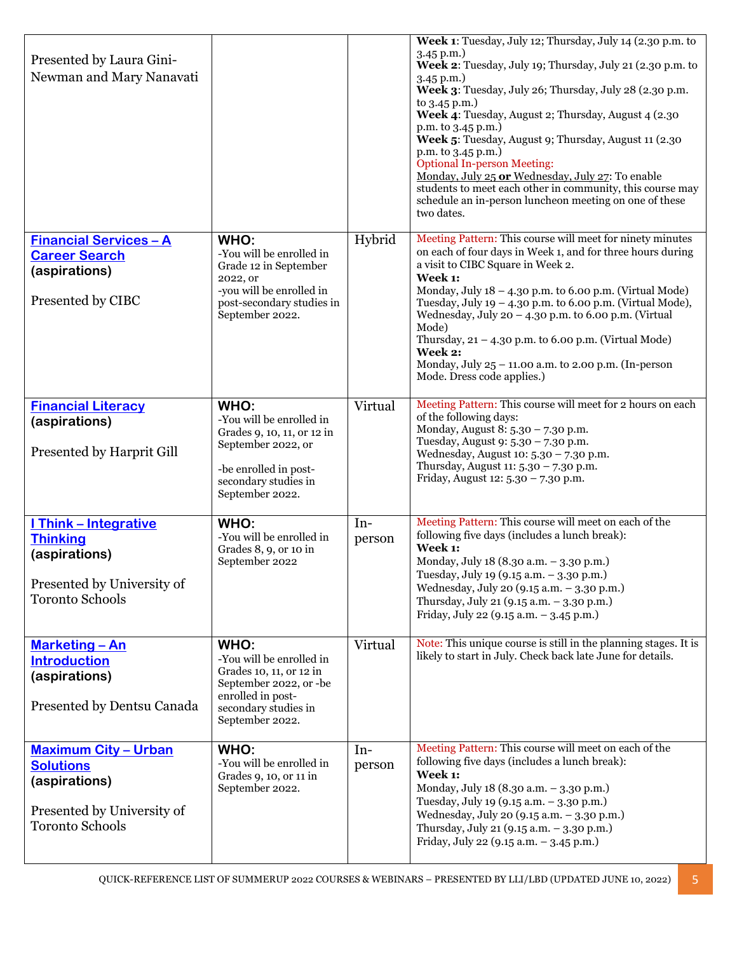| Presented by Laura Gini-<br>Newman and Mary Nanavati                                                                     |                                                                                                                                                          |                 | Week 1: Tuesday, July 12; Thursday, July 14 (2.30 p.m. to<br>$3.45$ p.m.)<br>Week 2: Tuesday, July 19; Thursday, July 21 (2.30 p.m. to<br>$3.45$ p.m.)<br>Week 3: Tuesday, July 26; Thursday, July 28 (2.30 p.m.<br>to 3.45 p.m.)<br>Week 4: Tuesday, August 2; Thursday, August 4 (2.30)<br>p.m. to 3.45 p.m.)<br>Week 5: Tuesday, August 9; Thursday, August 11 (2.30)<br>p.m. to 3.45 p.m.)<br><b>Optional In-person Meeting:</b><br>Monday, July 25 or Wednesday, July 27: To enable<br>students to meet each other in community, this course may<br>schedule an in-person luncheon meeting on one of these<br>two dates. |
|--------------------------------------------------------------------------------------------------------------------------|----------------------------------------------------------------------------------------------------------------------------------------------------------|-----------------|-------------------------------------------------------------------------------------------------------------------------------------------------------------------------------------------------------------------------------------------------------------------------------------------------------------------------------------------------------------------------------------------------------------------------------------------------------------------------------------------------------------------------------------------------------------------------------------------------------------------------------|
| <b>Financial Services - A</b><br><b>Career Search</b><br>(aspirations)<br>Presented by CIBC                              | WHO:<br>-You will be enrolled in<br>Grade 12 in September<br>2022, or<br>-you will be enrolled in<br>post-secondary studies in<br>September 2022.        | Hybrid          | Meeting Pattern: This course will meet for ninety minutes<br>on each of four days in Week 1, and for three hours during<br>a visit to CIBC Square in Week 2.<br>Week 1:<br>Monday, July $18 - 4.30$ p.m. to 6.00 p.m. (Virtual Mode)<br>Tuesday, July 19 - 4.30 p.m. to 6.00 p.m. (Virtual Mode),<br>Wednesday, July 20 - 4.30 p.m. to 6.00 p.m. (Virtual<br>Mode)<br>Thursday, $21 - 4.30$ p.m. to 6.00 p.m. (Virtual Mode)<br>Week 2:<br>Monday, July 25 - 11.00 a.m. to 2.00 p.m. (In-person<br>Mode. Dress code applies.)                                                                                                 |
| <b>Financial Literacy</b><br>(aspirations)<br>Presented by Harprit Gill                                                  | WHO:<br>-You will be enrolled in<br>Grades 9, 10, 11, or 12 in<br>September 2022, or<br>-be enrolled in post-<br>secondary studies in<br>September 2022. | Virtual         | Meeting Pattern: This course will meet for 2 hours on each<br>of the following days:<br>Monday, August 8: 5.30 - 7.30 p.m.<br>Tuesday, August 9: 5.30 - 7.30 p.m.<br>Wednesday, August 10: 5.30 - 7.30 p.m.<br>Thursday, August 11: 5.30 - 7.30 p.m.<br>Friday, August 12: 5.30 - 7.30 p.m.                                                                                                                                                                                                                                                                                                                                   |
| <b>I Think - Integrative</b><br><b>Thinking</b><br>(aspirations)<br>Presented by University of<br><b>Toronto Schools</b> | WHO:<br>-You will be enrolled in<br>Grades 8, 9, or 10 in<br>September 2022                                                                              | $In-$<br>person | Meeting Pattern: This course will meet on each of the<br>following five days (includes a lunch break):<br>Week 1:<br>Monday, July 18 (8.30 a.m. - 3.30 p.m.)<br>Tuesday, July 19 (9.15 a.m. - 3.30 p.m.)<br>Wednesday, July 20 (9.15 a.m. - 3.30 p.m.)<br>Thursday, July 21 (9.15 a.m. - 3.30 p.m.)<br>Friday, July 22 (9.15 a.m. - 3.45 p.m.)                                                                                                                                                                                                                                                                                |
| <b>Marketing - An</b><br><b>Introduction</b><br>(aspirations)<br>Presented by Dentsu Canada                              | WHO:<br>-You will be enrolled in<br>Grades 10, 11, or 12 in<br>September 2022, or -be<br>enrolled in post-<br>secondary studies in<br>September 2022.    | Virtual         | Note: This unique course is still in the planning stages. It is<br>likely to start in July. Check back late June for details.                                                                                                                                                                                                                                                                                                                                                                                                                                                                                                 |
| <b>Maximum City - Urban</b><br><b>Solutions</b><br>(aspirations)<br>Presented by University of<br><b>Toronto Schools</b> | WHO:<br>-You will be enrolled in<br>Grades 9, 10, or 11 in<br>September 2022.                                                                            | $In-$<br>person | Meeting Pattern: This course will meet on each of the<br>following five days (includes a lunch break):<br>Week 1:<br>Monday, July 18 (8.30 a.m. - 3.30 p.m.)<br>Tuesday, July 19 (9.15 a.m. - 3.30 p.m.)<br>Wednesday, July 20 (9.15 a.m. - 3.30 p.m.)<br>Thursday, July 21 (9.15 a.m. - 3.30 p.m.)<br>Friday, July 22 (9.15 a.m. - 3.45 p.m.)                                                                                                                                                                                                                                                                                |